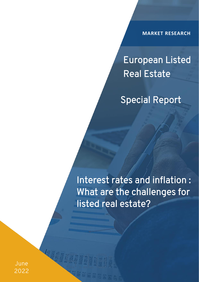**MARKET RESEARCH**

# European Listed Real Estate

Special Report

Interest rates and inflation : What are the challenges for listed real estate?

June 2022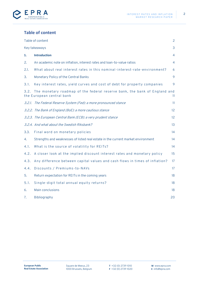



# <span id="page-1-0"></span>**Table of content**

|      | Table of content                                                                                       | $\overline{2}$ |
|------|--------------------------------------------------------------------------------------------------------|----------------|
|      | Key takeaways                                                                                          | 3              |
| 1.   | <b>Introduction</b>                                                                                    | $\overline{4}$ |
| 2.   | An academic note on inflation, interest rates and loan-to-value ratios                                 | $\overline{4}$ |
| 2.1. | What about real interest rates in this nominal-interest-rate-environment?                              | 6              |
| 3.   | Monetary Policy of the Central Banks                                                                   | 9              |
| 3.1. | Key interest rates, yield curves and cost of debt for property companies                               | 9              |
| 3.2. | The monetary roadmap of the federal reserve bank, the bank of England and<br>the European central bank | 11             |
|      | 3.2.1. The Federal Reserve System (Fed): a more pronounced stance                                      | 11             |
|      | 3.2.2. The Bank of England (BoE): a more cautious stance                                               | 12             |
|      | 3.2.3. The European Central Bank (ECB): a very prudent stance                                          | 12             |
|      | 3.2.4. And what about the Swedish Riksbank?                                                            | 13             |
| 3.3. | Final word on monetary policies                                                                        | 14             |
| 4.   | Strengths and weaknesses of listed real estate in the current market environment                       | 14             |
| 4.1. | What is the source of volatility for REITs?                                                            | 14             |
| 4.2. | A closer look at the implied discount interest rates and monetary policy                               | 15             |
| 4.3. | Any difference between capital values and cash flows in times of inflation?                            | 17             |
| 4.4. | Discounts / Premiums-to-NAVs                                                                           | 17             |
| 5.   | Return expectation for REITs in the coming years                                                       | 18             |
| 5.1. | Single-digit total annual equity returns?                                                              | 18             |
| 6.   | <b>Main conclusions</b>                                                                                | 18             |
| 7.   | Bibliography                                                                                           | 20             |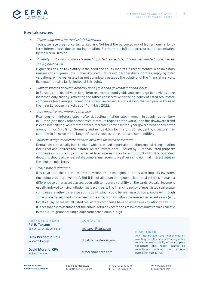

## <span id="page-2-0"></span>**Key takeaways**

• Challenging times for (real estate) investors Today, we face great uncertainty, i.e., risk. Not least the perceived risk of higher nominal longterm interest rates due to soaring inflation. Furthermore, inflation pressures are exacerbated by the war in Ukraine.

• Volatility in the capital markets affecting listed real estate, though with limited impact so far (on a global basis)

Higher risk has led to volatility in the bond and equity markets in recent months, with investors reassessing risk premiums. Higher risk premiums result in higher discount rates, implying lower valuations. While real estate has not completely escaped the volatility of the financial markets, its impact remains fairly limited at this point.

• Limited spreads between property bond yields and government bond yields

In Europe, spreads between long-term real estate bond yields and sovereign bond yields have increased only slightly, reflecting the rather conservative financing policy of listed real estate companies (on average). Indeed, the spread increased 45 bps during the last year in three of the main European markets as of April/May 2022.

• Very negative real interest rates, still

Real long-term interest rates – after deducting inflation rates – remain in deeply red territory in Europe (and many other economically mature regions of the world), and this downward trend is even intensifying. As a matter of fact, real rates carried by ten-year government bonds hover around minus 6.75% for Germany and minus 4.6% for the UK. Consequently, investors may continue to focus on more 'tangible' assets such as real estate and commodities.

• Inflation-hedge characteristics also available for listed real estate

Rental flows are usually index-linked, which can lead to partial protection against rising inflation (for direct and indirect real estate). As real estate debt – issued by European listed property companies – is currently contracted at fixed interest rates for about 85% of total outstanding debt, this should allow real estate owners/managers to weather rising nominal interest rates in the short to mid-term.

Real estate is different

It is clear that the current market environment is changing, and this also impacts investors (including property investors). But it is not all doom and gloom. Listed real estate can make a difference to other asset classes, even with temporary volatility on the cards. As said, income is usually indexed to rising inflation, at least in part. The financing policy of most listed real estate companies is rather defensive at this point, which could be seen as a positive. And even though some property segments have been witnessing high valuation parameters in recent years (e.g., logistics), by no means all listed real estate companies have an expensive valuation today. But it is reasonable to assume that the annual return expectations of investors must remain realistic in the future, probably single digit rather than double-digit.

#### **AUTHORS & TEAM**

**Pol R. Tansens** Senior real estate consultant

**Dilek Pekdemir, PhD** Research Manager

**David Moreno, CFA** Indices Manager

**CONTA CTS** 

[research@epra.com](mailto:research@epra.com)

[d.pekdemir@epra.com](mailto:d.pekdemir@epra.com)

[d.moreno@epra.com](mailto:d.moreno@epra.com)

#### **DISCLAIMER**

Any interpretation and implementation resulting from the data and finding within remain the responsibility of the company concerned. This report cannot be republished without the express permission from EPRA.

**European Public Real Estate Association** Square de Meeus, 23 1000 Brussels, Belgium **T** +32 (0) 2739 1010 **F** +32 (0) 2739 1020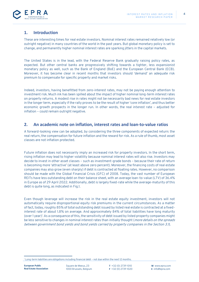

# <span id="page-3-0"></span>**1. Introduction**

These are interesting times for real estate investors. Nominal interest rates remained relatively low (or outright negative) in many countries of the world in the past years. But global monetary policy is set to change, and permanently higher nominal interest rates are sparking jitters in the capital markets.

The United States is in the lead, with the Federal Reserve Bank gradually raising policy rates, as expected. But other central banks are progressively shifting towards a tighter, less expansionist monetary policy as well, such as the Bank of England (BoE) and the European Central Bank (ECB). Moreover, it has become clear in recent months that investors should 'demand' an adequate risk premium to compensate for specific property and market risks.

Indeed, investors, having benefitted from zero-interest rates, may not be paying enough attention to investment risk. Much ink has been spilled about the impact of higher nominal long-term interest rates on property returns. A modest rise in rates might not be necessarily bad news for real estate investors in the longer term, especially if the rally proves to be the result of higher 'core inflation', and thus better economic growth prospects in the longer run. In other words, the real interest rate – adjusted for inflation – could remain outright negative.

# <span id="page-3-1"></span>**2. An academic note on inflation, interest rates and loan-to-value ratios**

A forward-looking view can be adopted, by considering the three components of expected return: the real return, the compensation for future inflation and the reward for risk. As a rule of thumb, most asset classes are not inflation protected.

Future inflation does not necessarily imply an increased risk for property investors. In the short term, rising inflation may lead to higher volatility because nominal interest rates will also rise. Investors may decide to invest in other asset classes – such as investment-grade bonds – because their rate of return is becoming more 'attractive' (at least above zero percent). Moreover, the financing costs of real estate companies may also grow (even sharply) if debt is contracted at floating rates. However, no comparison should be made with the Global Financial Crisis (GFC) of 2008. Today, the vast number of European REITs have less outstanding debt on their balance sheet, with an average loan-to-value (LTV) of 36.4% in Europe as of 29 April 2022. Additionally, debt is largely fixed-rate while the average-maturity of this debt is quite long, as indicated in Fig.1.

Even though leverage will increase the risk in the real estate equity investment, investors will not automatically require disproportional equity risk premiums in the current circumstances. As a matter of fact, today, roughly 85% of total outstanding debt issued by listed real estate is contracted at a fixedinterest rate of about 1.8% on average. And approximately 84% of total liabilities have long maturity (over 1 year)<sup>1</sup> . As a consequence of this, the sensitivity of debt issued by listed property companies might be less sensitive to changes in nominal interest rates than initially thought (*more details on the spreads* between government bond yields and bond yields carried by property companies in the Section 3.1).

<sup>1</sup> Long-term liabilities are obligations including financial debt – not due within the next 12 months.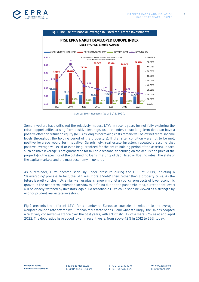



Source: EPRA Research (as of 31/12/2021).

Some investors have criticized the relatively modest LTVs in recent years for not fully exploring the return opportunities arising from positive leverage. As a reminder, cheap long-term debt can have a positive effect on return on equity (ROE) as long as borrowing costs remain well below net rental income levels throughout the holding period of the property(s). If the latter condition were not to be met, positive leverage would turn negative. Surprisingly, real estate investors repeatedly assume that positive leverage will exist or even be guaranteed for the entire holding period of the asset(s). In fact, such positive leverage is not guaranteed for multiple reasons, depending on the acquisition price of the property(s), the specifics of the outstanding loans (maturity of debt, fixed or floating rates), the state of the capital markets and the macroeconomy in general.

As a reminder, LTVs became seriously under pressure during the GFC of 2008, initiating a 'deleveraging' process. In fact, the GFC was more a 'debt' crisis rather than a property crisis. As the future is pretty unclear (Ukrainian war, gradual change in monetary policy, prospects of lower economic growth in the near term, extended lockdowns in China due to the pandemic, etc.), current debt levels will be closely watched by investors, again! So reasonable LTVs could soon be viewed as a strength by and for prudent real estate investors.

Fig.2 presents the different LTVs for a number of European countries in relation to the averageweighted coupon rate offered by European real estate bonds. Somewhat strikingly, the UK has adopted a relatively conservative stance over the past years, with a 'British' LTV of a mere 27% as at end-April 2022. The debt ratios have edged lower in recent years, from above 42% in 2012 to 36% today.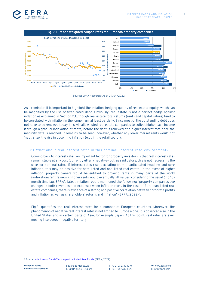



Source: EPRA Research (As of 29/04/2022).

As a reminder, it is important to highlight the inflation-hedging quality of real estate equity, which can be magnified by the use of fixed-rated debt. Obviously, real estate is not a perfect hedge against inflation as explained in Section 2.1., though real estate total returns (rents and capital values) tend to be correlated with inflation in the longer run, at least partially. Since most of the outstanding debt does not have to be renewed today, this will allow listed real estate companies to collect higher cash income (through a gradual indexation of rents) before the debt is renewed at a higher interest rate once the maturity date is reached. It remains to be seen, however, whether any lower market rents would not 'neutralize' the rise in upcoming inflation (e.g., in the retail sector).

#### <span id="page-5-0"></span>2.1. What about real interest rates in this nominal -interest-rate-environment?

Coming back to interest rates, an important factor for property investors is that real interest rates remain stable at any cost (currently utterly negative) but, as said before, this is not necessarily the case for nominal rates! If interest rates rise, escalating from unanticipated headline and core inflation, this may be positive for both listed and non-listed real estate. In the event of higher inflation, property owners would be entitled to growing rents in many parts of the world (indexation/rent reviews). Higher rents would eventually lift values, considering the usual 6 to 18 month time lag. EPRA's latest inflation report mentioned the following: "property companies see changes in both revenues and expenses when inflation rises. In the case of European listed real estate companies, there is evidence of a strong and positive correlation between corporate profits and inflation as well as shareholders' returns and inflation" (EPRA, 2022) 2 .

Fig.3. quantifies the real interest rates for a number of European countries. Moreover, the phenomenon of negative real interest rates is not limited to Europe alone. It is observed also in the United States and in certain parts of Asia, for example Japan. At this point, real rates are even moving into deeper negative territory!

<sup>2</sup> Source[: Inflation and Short-Term Impact on Listed Real Estate](https://bit.ly/34kZpnG) (EPRA, 2022).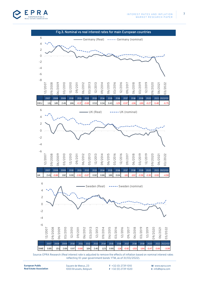



Source: EPRA Research (Real interest rate is adjusted to remove the effects of inflation based on nominal interest rates reflecting 10-year government bonds YTM, as of 31/03/2022).

**European Public Real Estate Association**

Square de Meeus, 23 1000 Brussels, Belgium **T** +32 (0) 2739 1010 **F** +32 (0) 2739 1020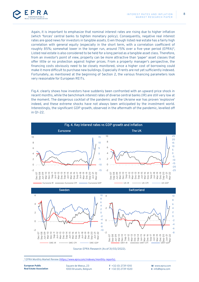

Again, it is important to emphasize that nominal interest rates are rising due to higher inflation (which 'forces' central banks to tighten monetary policy). Consequently, negative real interest rates are good news for investors in tangible assets. Even though listed real estate has a fairly high correlation with general equity (especially in the short term, with a correlation coefficient of roughly 85%; somewhat lower in the longer run, around 75% over a five-year period (EPRA) 3 , Listed real estate is also considered to be held for a long period as a tangible asset class. Therefore, from an investor's point of view, property can be more attractive than 'paper' asset classes that offer little or no protection against higher prices. From a property manager's perspective, the financing costs obviously need to be closely monitored, since a higher cost of borrowing could make it more difficult to purchase new buildings. Especially if rents are not yet sufficiently indexed. Fortunately, as mentioned at the beginning of Section 2, the various financing parameters look very reasonable for European REITs.

Fig.4. clearly shows how investors have suddenly been confronted with an upward price shock in recent months, while the benchmark interest rates of diverse central banks (IR) are still very low at the moment. The dangerous cocktail of the pandemic and the Ukraine war has proven 'explosive' indeed, and these extreme shocks have not always been anticipated by the investment world. Interestingly, the significant GDP growth, observed in the aftermath of the pandemic, levelled off in Q1-22.



Source: EPRA Research (As of 31/03/2022).

**European Public Real Estate Association** Square de Meeus, 23 1000 Brussels, Belgium **T** +32 (0) 2739 1010 **F** +32 (0) 2739 1020

<sup>3</sup> EPRA Monthly Market Review [\(https://www.epra.com/indexes/monthly-reports\)](https://www.epra.com/indexes/monthly-reports).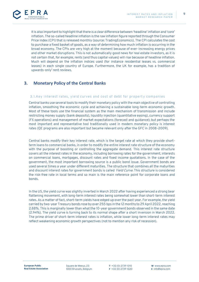

It is also important to highlight that there is a clear difference between 'headline' inflation and 'core' inflation. The so-called headline inflation is the raw inflation figure reported through the Consumer Price Index (CPI) that is released monthly (source: TradingEconomics). The CPI calculates the cost to purchase a fixed basket of goods, as a way of determining how much inflation is occurring in the broad economy. The CPIs are very high at the moment because of ever-increasing energy prices and other market disruptions. This is not automatically good news for real estate investors, as it is not certain that, for example, rents (and thus capital values) will rise because of headline inflation. Much will depend on the inflation indices used (for instance residential leases vs. commercial leases) in each single country of Europe. Furthermore, the UK for example, has a tradition of upwards-only' rent reviews.

# <span id="page-8-0"></span>**3. Monetary Policy of the Central Banks**

#### <span id="page-8-1"></span>3.1.Key interest rates, yield curves and cost of debt for property companies

Central banks use several tools to modify their monetary policy with the main objective of controlling inflation, smoothing the economic cycle and achieving a sustainable long-term economic growth. Most of these tools use the financial system as the main mechanism of transmission and include restricting money supply (bank deposits), liquidity injection (quantitative easing), currency support (FX operations) and management of market expectations (forecast and guidance); but perhaps the most important and representative tool traditionally used in modern monetary policy is interest rates (QE programs are also important but became relevant only after the GFC in 2008-2009).

Central banks modify their key interest rate, which is the target rate at which they provide shortterm loans to commercial banks, in order to modify the entire interest rate structure of the economy with the purpose of boosting or controlling the aggregate demand. This interest rate structure covers all the interest rates in the economy, including borrowing rates for the government, interests on commercial loans, mortgages, discount rates and fixed income quotations. In the case of the government, the most important borrowing source is a public bond issue. Government bonds are used several times a year under different maturities. The structure that combines all the maturities and discount interest rates for government bonds is called Yield Curve. This structure is considered the risk-free rate in local terms and so main is the main reference point for corporate loans and bonds.

In the US, the yield curve was slightly inverted in March 2022 after having experienced a strong bear flattening movement, with long-term interest rates being somewhat lower than short-term interest rates. As a matter of fact, short-term yields have edged up over the past year. For example, the yield carried by two-year Treasury bonds rose by over 255 bps in the 12 months to 29 April 2022, reaching 2.88%. This is marginally lower than what the 10-year government bonds observed in the same date (2.94%). The yield curve is turning back to its normal shape after a short inversion in March 2022. The prime driver of short-term interest rates is inflation, while lower long-term interest rates may reflect weakening economic growth perspectives (not to mention any risk of recession).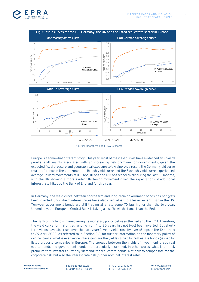



Source: Bloomberg and EPRA Research.

Europe is a somewhat different story. This year, most of the yield curves have evidenced an upward parallel shift mainly associated with an increasing risk premium for governments, given the expected fiscal pressure and geographical exposure to Ukraine. As a result, the German yield curve (main reference in the eurozone), the British yield curve and the Swedish yield curve experienced average upward movements of 102 bps, 111 bps and 123 bps respectively during the last 12-months, with the UK showing a more evident flattening movement given the expectations of additional interest rate hikes by the Bank of England for this year.

In Germany, the yield curve between short-term and long-term government bonds has not (yet) been inverted. Short-term interest rates have also risen, albeit to a lesser extent than in the US. Ten-year government bonds are still trading at a rate some 70 bps higher than the two-year. Undeniably, the European Central Bank is taking a less 'hawkish stance than the Fed.

The Bank of England is maneuvering its monetary policy between the Fed and the ECB. Therefore, the yield curve for maturities ranging from 1 to 20 years has not (yet) been inverted. But shortterm yields have also risen over the past year: 2-year yields rose by over 151 bps in the 12 months to 29 April 2022. As referred to in Section 3.2, for further information on the monetary policy of central banks. What is even more interesting are the yields carried by real estate bonds (issued by listed property companies in Europe). The spreads between the yields of investment-grade real estate bonds and government bonds are particularly examined. In other words, what is the risk premium that investors currently 'demand' for real estate bonds. Not only to compensate for the corporate risk, but also the interest rate risk (higher nominal interest rates).

10

Square de Meeus, 23 1000 Brussels, Belgium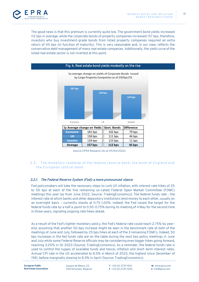

The good news is that this premium is currently quite low. The government bond yields increased 112 bps in average, while the corporate bonds of property companies increased 157 bps, therefore, investors who buy investment-grade bonds from listed property companies required an extra return of 45 bps (in function of maturity). This is very reasonable and, in our view, reflects the conservative debt management of many real estate companies. Additionally, the yield curve of the listed real estate sector is not inverted at this point.



Source: EPRA Research (As of 29/04/2022).

#### <span id="page-10-0"></span>3.2. The monetary roadmap of the federal reserve bank, the bank of England and the European central bank

## <span id="page-10-1"></span>3.2.1. The Federal Reserve System (Fed): a more pronounced stance

Fed policymakers will take the necessary steps to curb US inflation, with interest rate hikes of 25 to 50 bps at each of the five remaining so-called Federal Open Market Committee (FOMC) meetings this year (as from June 2022, Source: TradingEconomics). The federal funds rate - the interest rate at which banks and other depository institutions lend money to each other, usually on an overnight basis – currently stands at 0.75-1.00%. Indeed, the Fed raised the target for the federal funds rate by a half a-point to 0.50-0.75% during its meeting of 4 May for the second time in three years, signaling ongoing rate hikes ahead.

As a result of the Fed's tighter monetary policy, the Fed's federal rate could reach 2.75% by yearend, assuming that another 50-bps increase might be seen in the benchmark rate at both of the meetings of June and July, followed by 25 bps hikes at each of the 3 remaining FOMCs. Indeed, 50 bps increases in the fed funds rate are on the table during the next two policy meetings in June and July while some Federal Reserve officials may be considering even bigger hikes going forward, reaching 3.25% in Q1-2023 (Source: TradingEconomics). As a reminder, the federal funds rate is used to control the supply of available funds and hence, inflation and short-term interest rates. Annual CPI rate in the US accelerated to 8.5% in March of 2022, the highest since December of 1981, before marginally slowing to 8.3% in April (Source: TradingEconomics).

**European Public** 

Square de Meeus, 23 1000 Brussels, Belgium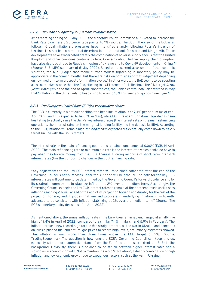

## <span id="page-11-0"></span>3.2.2. The Bank of England (BoE): a more cautious stance

At its meeting ending on 5 May 2022, the Monetary Policy Committee MPC voted to increase the Bank Rate by a mere 0.25 percentage points, to 1% (source: The BoE). The view of the BoE is as follows: "Global inflationary pressures have intensified sharply following Russia's invasion of Ukraine. This has led to a material deterioration in the outlook for world and UK growth. These developments have exacerbated greatly the combination of adverse supply shocks that the United Kingdom and other countries continue to face. Concerns about further supply chain disruption have also risen, both due to Russia's invasion of Ukraine and to Covid-19 developments in China." (Source: BoE, MPC summary of 5 May 2022). Based on its current assessment of the economic situation, the MPC judges that "some further modest tightening in monetary policy may be appropriate in the coming months, but there are risks on both sides of that judgement depending on how medium-term prospects for inflation evolve." In other words, the BoE seems to be adopting a less outspoken stance than the Fed, sticking to a CPI target of "a little above the 2% target in two years' time" (9% as at the end of April). Nonetheless, the British central bank also warned in May that "inflation in the UK is likely to keep rising to around 10% this year and go down next year".

## <span id="page-11-1"></span>3.2.3. The European Central Bank (ECB): a very prudent stance

The ECB is currently in a difficult position: the headline inflation is at 7.4% per annum (as of end-April 2022 and it is expected to be 8.1% in May), while ECB President Christine Lagarde has been hesitating to actually raise the Bank's key interest rates (the interest rate on the main refinancing operations, the interest rates on the marginal lending facility and the deposit facility). According to the ECB, inflation will remain high *for longer than expected* but eventually come down to its 2% target (in line with the BoE's target).

The interest rate on the main refinancing operations remained unchanged at 0.00% (ECB, 14 April 2022). The main refinancing rate or minimum bid rate is the interest rate which banks do have to pay when they borrow money from the ECB. There is a strong response of short-term interbank interest rates (like the Euribor) to changes in the ECB refinancing rate.

"Any adjustments to the key ECB interest rates will take place sometime after the end of the Governing Council's net purchases under the APP and will be gradual. The path for the key ECB interest rates will continue to be determined by the Governing Council's forward guidance and by its strategic commitment to stabilize inflation at 2% over the medium term. Accordingly, the Governing Council expects the key ECB interest rates to remain at their present levels until it sees inflation reaching 2% well ahead of the end of its projection horizon and durably for the rest of the projection horizon, and it judges that realized progress in underlying inflation is sufficiently advanced to be consistent with inflation stabilizing at 2% over the medium term." (Source: The ECB's monetary policy decisions of 14 April 2022).

As mentioned above, the annual inflation rate in the Euro Area remained unchanged at an all-time high of 7.4% in April of 2022 (compared to a similar 7.4% in March and 5.9% in February). The inflation broke a new record high for the 5th straight month, as the war in Ukraine and sanctions on Russia pushed fuel and natural gas prices to record high levels, preliminary estimates showed. The inflation is now more than three times above the ECB target of 2%. (Source: TradingEconomics). The question is how long the ECB's Governing Council can keep this up, especially with a more aggressive stance from the Fed (and to a lesser extent the BoE) in the background. Obviously, there is a balance to be struck between higher interest rates and a slowdown in economic growth. Not to mention the word 'stagflation ', a deadly combination of high inflation and low economic growth due to exogenous factors, such as the war in Ukraine.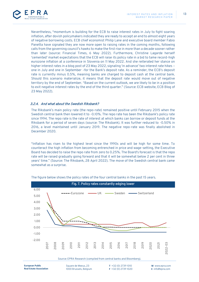

Nevertheless, "momentum is building for the ECB to raise interest rates in July to fight soaring inflation, after dovish policymakers indicated they are ready to accept an end to almost eight years of negative borrowing costs. ECB chief economist Philip Lane and executive board member Fabio Panetta have signaled they are now more open to raising rates in the coming months, following calls from the governing council's hawks to make the first rise in more than a decade sooner rather than later (source: Financial Times, 6 May 2022). Furthermore, Christine Lagarde herself 'cemented' market expectations that the ECB will raise its policy rate in a bid to tame record-high eurozone inflation at a conference in Slovenia on 11 May 2022. And she reiterated her stance on higher interest rates in a blog post of 23 May 2022, signaling 'in advance' two interest rate hikes – one in July and one in September –for the Bank's deposit rate. As a reminder, the ECB's deposit rate is currently minus 0.5%, meaning banks are charged to deposit cash at the central bank. Should this scenario materialize, it means that the deposit rate would move out of negative territory by the end of September. "Based on the current outlook, we are likely to be in a position to exit negative interest rates by the end of the third quarter." (Source: ECB website, ECB Blog of 23 May 2022).

## <span id="page-12-0"></span>3.2.4. And what about the Swedish Riksbank?

The Riksbank's main policy rate (the repo-rate) remained positive until February 2015 when the Swedish central bank then lowered it to -0.10%. The repo rate has been the Riksbank's policy rate since 1994. The repo rate is the rate of interest at which banks can borrow or deposit funds at the Riksbank for a period of seven days (source: The Riksbank). It was further reduced to -0.50% in 2016, a level maintained until January 2019. The negative repo-rate was finally abolished in December 2020.

"Inflation has risen to the highest level since the 1990s and will be high for some time. To counteract the high inflation from becoming entrenched in price and wage-setting, the Executive Board has decided to raise the repo rate from zero to 0.25%. The Board's forecast is that the repo rate will be raised gradually going forward and that it will be somewhat below 2 per cent in three years' time." (Source: The Riksbank, 28 April 2022). The move of the Swedish central bank came somewhat as a surprise.



The figure below shows the policy rates of the four central banks in the past 15 years.

Source: EPRA Research (compiled from central banks and Bloomberg).

13

**European Public Real Estate Association** Square de Meeus, 23 1000 Brussels, Belgium **T** +32 (0) 2739 1010 **F** +32 (0) 2739 1020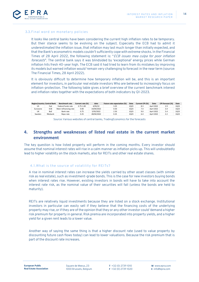

#### <span id="page-13-0"></span>3.3. Final word on monetary policies

It looks like central banks have been considering the current high inflation rates to be temporary. But their stance seems to be evolving on the subject. Especially the ECB had to admit it underestimated the inflation issue, that inflation may last much longer than initially expected, and that the Bank's econometric models couldn't sufficiently cope with extreme shocks. In the Financial Times of 28 April 2022, the following statement is: "ECB issues mea culpa for poor inflation forecasts". The central bank says it was blindsided by 'exceptional' energy prices while German inflation hits fresh 40-year high. The ECB said it had tried to learn from its mistakes by improving its models but warned inflation would 'remain very challenging to forecast in the near term (source: The Financial Times, 28 April 2022).

It is obviously difficult to determine how temporary inflation will be, and this is an important element for investors, in particular real estate investors Who are believed to increasingly focus on inflation-protection. The following table gives a brief overview of the current benchmark interest and inflation rates together with the expectations of both indicators by Q1-2023.

| Region/country Central Bank |            | <b>Benchmark rate</b> | Current rate (%) | date       | Future rate expectation (%) | Date | Current CPI (%) | Date       | CPI forecast (%) | Date |
|-----------------------------|------------|-----------------------|------------------|------------|-----------------------------|------|-----------------|------------|------------------|------|
| US                          | Fed        | Federal funds rate    | $0.75 - 1.00$    | 4/05/22    | 3.25                        | 1Q23 | 8.3             | April 2022 | 2.9              | 1023 |
| Eurozone                    | ECB        | Main refinancing rate | 0.00             | 14/04/2022 | 0.50                        | 1023 | 7.4             | April 2022 | 3.4              | 1023 |
| UK                          | <b>BoE</b> | Bank rate             | 0.75             | 5/05/2022  | 2.50                        | 1023 | 9.0             | April 2022 | 5.4              | 1023 |
| Sweden                      | Riksbank   | Repo rate             | 0.25             | 28/04/2022 | 0.25                        | 1023 | 6.4             | April 2022 | 2.2              | 1023 |

Source: Various websites of central banks, TradingEconomics for the forecasts

# <span id="page-13-1"></span>**4. Strengths and weaknesses of listed real estate in the current market environment**

The key question is how listed property will perform in the coming months. Every investor should assume that nominal interest rates will rise in a calm manner as inflation picks up. This will undoubtedly lead to higher volatility on the stock markets, also for REITs and other real estate shares.

## <span id="page-13-2"></span>4.1.What is the source of volatility for REITs?

A rise in nominal interest rates can increase the yields carried by other asset classes (with similar risk as real estate), such as investment-grade bonds. This is the case for new investors buying bonds when interest rates rise. However, existing investors in bonds will have to take into account the interest rate risk, as the nominal value of their securities will fall (unless the bonds are held to maturity).

REITs are relatively liquid investments because they are listed on a stock exchange. Institutional investors in particular can easily sell if they believe that the financing costs of the underlying property may rise, or if they are of the opinion that they or any other investor could 'demand a higher risk premium for property in general. Risk premia are incorporated into property yields, and a higher yield for a given rent leads to a lower value.

Another way of saying the same thing is that a higher discount rate (used to value property by discounting future cash flows today) can lead to lower valuations. Because the risk premium that is part of the discount rate increases.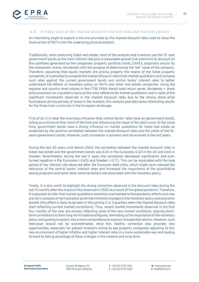

#### <span id="page-14-0"></span>4.2. A closer look at the implied discount interest rates and monetary policy

An interesting angle to explore is the one provided by the implied discount rates used to value the share prices of REITs (not the underlying physical assets!).

Traditionally, when analyzing listed real estate, most of the analysts and investors use the 10-year government bonds as the main interest rate plus a reasonable spread (risk premium) to discount all the cashflows generated by the companies' property portfolio (rents, CAPEX, disposals) and/or by the companies' shares (dividends) with the purpose of determining the 'fair' value of the company. Therefore, assuming that equity markets are pricing properly the shares of the listed property companies, it is possible to compute the implied discount rates from market quotations and compare such rates against the current government bonds and central banks' interest rates to better understand the effects of monetary policy on REITs and other real estate companies. Using the regional and country-level indices in the FTSE EPRA Nareit total return series (dividends + share price evolution) on a quarterly basis as the main reference for market quotations, and in spite of the significant movements observed in the implied discount rates due to the strong share price fluctuations during periods of stress in the markets, this analysis provides some interesting results for the three main currencies in the European landscape.

First of all, it is clear the enormous influence that central banks' rates have on government bonds, acting as a minimum floor most of the time and influencing the slope of the yield curve. At the same time, government bonds have a strong influence on market quotations for listed real estate as evidenced by the positive correlation between the implied discount rates and the yields of the 10 years government bonds. However, such correlation is dynamic and has evolved in the last years.

During the last 20 years until March-2022, the correlation between the implied discount rates in listed real estate and the government bonds was 0.24 in the Eurozone, 0.32 in the UK and 0.60 in Sweden. Nevertheless, during the last 5 years the correlation decreased significantly and even turned negative in the Eurozone (-0.65) and Sweden (-0.77). This can be associated with the long period of low interest rate observed after the Eurozone debt crisis, which might have reduced the relevance of the central banks' interest rates and increased the importance of the quantitative easing programs and some other external factors not associated with the monetary policy.

Finally, it is also worth to highlight the strong correction observed in the discount rates during the last 12 months after the massive hike observed in 2020 as a result of the global pandemic. Therefore, it is possible to infer that market quotations somehow overreacted to the pandemic effects and now are still in process of normalization given the imminent changes in the monetary policy and economic growth (this effect is likely to be seen in the coming 2 or 3 quarters when the implied discount rates start reflecting current market corrections). Thus, recent market movements observed in the first four months of the year are already reflecting some of the new market conditions, aligning shortterm correlations to their long-term traditional figures, reminding us the importance of the monetary policy and guiding investors into a more comprehensive analysis of expected returns. However, such relevance should not be overestimated, since this healthy correction also provides new opportunities, especially for patient investors willing to see property companies adjusting to this new environment of higher inflation and higher interest rates in a more sustainable way and looking forward to taking advantage of these changes in the medium and long-term.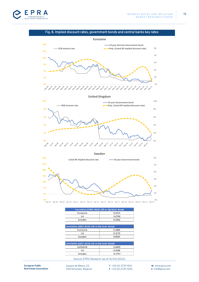

## Fig. 8. Implied discount rates, government bonds and central banks key rates



| Correlation (1995-2022): LRE vs 10y Govt. Bonds |           |  |  |  |
|-------------------------------------------------|-----------|--|--|--|
| Eurozone                                        | 0.2333    |  |  |  |
| ιж                                              | $-0.0760$ |  |  |  |
| Sweden                                          | 0.1982    |  |  |  |
|                                                 |           |  |  |  |

| Correlation (2002-2022): LRE vs 10y Govt. Bonds |        |  |  |  |
|-------------------------------------------------|--------|--|--|--|
| Eurozone                                        | 0.2406 |  |  |  |
| ΠК                                              | 0.3170 |  |  |  |
| Sweden                                          | 0.6045 |  |  |  |
|                                                 |        |  |  |  |

| Correlation (2017-2022): LRE vs 10y Govt. Bonds |           |  |  |  |
|-------------------------------------------------|-----------|--|--|--|
| Eurozone                                        | $-0.6499$ |  |  |  |
| UK                                              | 0.3598    |  |  |  |
| Sweden                                          | $-0.7737$ |  |  |  |
|                                                 |           |  |  |  |

Source: EPRA Research (as of 31/03/2022).

16

Square de Meeus, 23 1000 Brussels, Belgium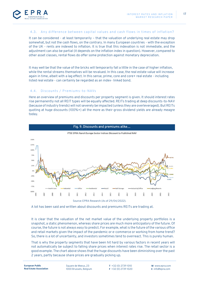

#### <span id="page-16-0"></span>4.3. Any difference between capital values and cash flows in times of inflation?

It can be considered - at least temporarily – that the valuation of underlying real estate may drop somewhat, but not the cash flows, on the contrary. In many European countries - with the exception of the UK - rents are indexed to inflation. It is true that this indexation is not immediate, and the adjustment can also be partial (it depends on the inflation index in question). However, compared to other asset classes, rental flows do offer some protection against monetary depreciation.

It may well be that the value of the bricks will temporarily fall a little in the case of higher inflation, while the rental streams themselves will be revalued. In this case, the real estate value will increase again in time, albeit with a lag effect. In this sense, prime, core and core+ real estate - including listed real estate - can certainly be regarded as an index- linked bond.

## <span id="page-16-1"></span>4.4. Discounts / Premiums-to-NAVs

Here an overview of premiums and discounts per property segment is given. It should interest rates rise permanently not all REIT types will be equally affected. REITs trading at deep discounts-to-NAV (because of industry trends) will not severely be impacted (unless they are overleveraged). But REITs quoting at huge discounts (100%+) all the more as their gross dividend yields are already meagre today.



A lot has been said and written about discounts and premiums REITs are trading at.

It is clear that the valuation of the net market value of the underlying property portfolios is a snapshot, a static phenomenon, whereas share prices are much more anticipatory of the future. Of course, the future is not always easy to predict. For example, what is the future of the various office and retail markets given the impact of the pandemic or e-commerce or working from home trend? So, there is a lot of uncertainty, and investors sometimes tend to overreact. This is purely human.

That is why the property segments that have been hit hard by various factors in recent years will not automatically be subject to falling share prices when interest rates rise. The retail sector is a good example. The chart above shows that the huge discounts have been diminishing over the past 2 years, partly because share prices are gradually picking up.

17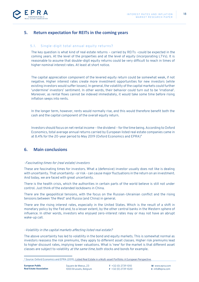

# <span id="page-17-0"></span>**5. Return expectation for REITs in the coming years**

#### <span id="page-17-1"></span>5.1. Single-digit total annual equity returns?

The key question is what kind of real estate returns – carried by REITs –could be expected in the coming years. At the level of the properties and at the level of equity (incorporating LTVs). It is reasonable to assume that double-digit equity returns could be very difficult to reach in times of higher nominal interest rates. At least at short notice.

The capital appreciation component of the levered equity return could be somewhat weak, if not negative. Higher interest rates create more investment opportunities for new investors (while existing investors would suffer losses). In general, the volatility of the capital markets could further 'undermine' investors' sentiment. In other words, their behavior could turn out to be 'irrational'. Moreover, as rental flows cannot be indexed immediately, it would take some time before rising inflation seeps into rents.

In the longer term, however, rents would normally rise, and this would therefore benefit both the cash and the capital component of the overall equity return.

Investors should focus on net rental income – the dividend – for the time being. According to Oxford Economics, total average annual returns carried by European listed real estate companies came in at 8.4% for the 20-year period to May 2019 (Oxford Economics and EPRA) 4

## <span id="page-17-2"></span>**6. Main conclusions**

#### -Fascinating times for (real estate) investors

These are fascinating times for investors. What a (defensive) investor usually does not like is dealing with uncertainty. That uncertainty - or risk - can cause major fluctuations in the return on an investment. And today, we are faced with great uncertainty.

There is the health crisis, which the authorities in certain parts of the world believe is still not under control. Just think of the extended lockdowns in China.

There are the geopolitical tensions, with the focus on the Russian-Ukrainian conflict and the rising tensions between 'the West' and Russia (and China) in general.

There are the rising interest rates, especially in the United States. Which is the result of a shift in monetary policy by the Fed and, to a lesser extent, by the other central banks in the Western sphere of influence. In other words, investors who enjoyed zero-interest rates may or may not have an abrupt wake-up call.

#### -Volatility in the capital markets affecting listed real estate?

The above uncertainty has led to volatility in the bond and equity markets. This is somewhat normal as investors reassess the risk premiums, they apply to different asset classes. Higher risk premiums lead to higher discount rates, implying lower valuations. What is 'new' for the market is that different asset classes are subject to volatility *at the same time*, both stocks and bonds for example.

<sup>4</sup> Source: Oxford Economics and EPRA (2019)[, Listed Real Estate in a Multi-asset Portfolio: A European Perspective.](chrome-extension://efaidnbmnnnibpcajpcglclefindmkaj/https:/prodapp.epra.com/media/EPRA_European_Optimal_Portfolio_Allocation_1568797481225.pdf)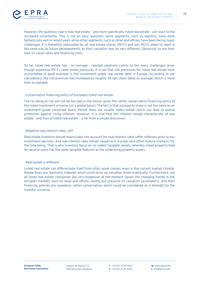

However, the question now is how real estate - and more specifically listed real estate - will react to the increased uncertainty. This is not an easy question: some segments, such as logistics, have done fantastically well in recent years while other segments, such as retail and offices, have been facing major challenges. It is therefore impossible for all real estate shares (REITs and non-REITs alike) to react in the same way to future developments, as their valuation may be very different. Obviously, so are their loan-to-value ratios and financing costs.

So far, listed real estate has - on average - reacted relatively calmly to the many challenges (even though expensive REITs came under pressure). It is not that risk premiums for listed real estate have skyrocketed. A good example is the investment-grade real estate debt in Europe. According to our calculations, the risk premium has increased by roughly 45 bps (April data) on average, which is more than acceptable.

#### -Conservative financing policy of European listed real estate

The re-rating of risk will not be too bad in the future, given the rather conservative financing policy of the listed investment universe (on a global basis). The fact is that a property share is not the same as an investment-grade corporate bond. Rental flows are usually index-linked, which can lead to partial protection against rising inflation. However, it is true that the inflation-hedge characteristic of real estate - and thus of listed real estate - is far from a simple discussion.

#### -Negative real interest rates, still

Real estate investors should mainly take into account the real interest rates (after inflation) prior to any investment decision. And real interest rates remain negative in Europe (and other mature markets) for the time being. That is why investors focus on so-called 'tangible' assets, whereby listed property held for several years has the same tangible features as the underlying property assets.

#### -Real estate is different

Listed real estate can differentiate itself from other asset classes, even in the current market climate. Rental flows are (partially) indexed, which could drive up valuation levels eventually. Furthermore, not all listed real estate companies are very expensive at the moment (given the changing trends in the occupier markets, such as retail and offices, having put pressure on valuation parameters). And their financing policies are nowadays rather conservative, which could be considered as a strength by the investor universe.